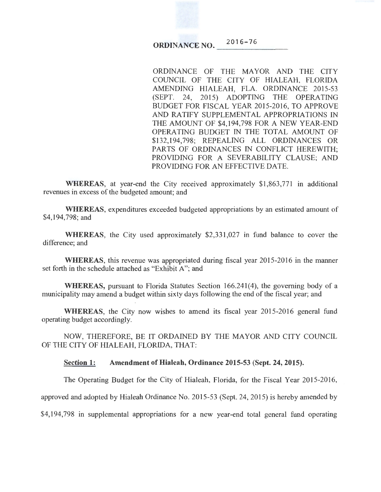#### **ORDINANCE NO.**  $016 - 76$ \_\_ \_

ORDINANCE OF THE MAYOR AND THE CITY COUNCIL OF THE CITY OF HIALEAH, FLORIDA AMENDING HIALEAH, FLA. ORDINANCE 2015-53 (SEPT. 24, 2015) ADOPTING THE OPERATING BUDGET FOR FISCAL YEAR 2015-2016, TO APPROVE AND RATIFY SUPPLEMENTAL APPROPRIATIONS IN THE AMOUNT OF \$4,194,798 FOR A NEW YEAR-END OPERATING BUDGET IN THE TOTAL AMOUNT OF \$132,194,798; REPEALING ALL ORDINANCES OR PARTS OF ORDINANCES IN CONFLICT HEREWITH; PROVIDING FOR A SEVERABILITY CLAUSE; AND PROVIDING FOR AN EFFECTIVE DATE.

**WHEREAS**, at year-end the City received approximately \$1,863,771 in additional revenues in excess of the budgeted amount; and

**WHEREAS,** expenditures exceeded budgeted appropriations by an estimated amount of \$4,194,798; and

**WHEREAS,** the City used approximately \$2,331 ,027 in fund balance to cover the difference; and

**WHEREAS,** this revenue was appropriated during fiscal year 2015-2016 in the manner set forth in the schedule attached as "Exhibit A"; and

**WHEREAS,** pursuant to Florida Statutes Section 166.241(4), the governing body of a municipality may amend a budget within sixty days following the end of the fiscal year; and

**WHEREAS,** the City now wishes to amend its fiscal year 2015-2016 general fund operating budget accordingly.

NOW, THEREFORE, BE IT ORDAINED BY THE MAYOR AND CITY COUNCIL OF THE CITY OF HIALEAH, FLORIDA, THAT:

# **Section 1: Amendment of Hialeah, Ordinance 2015-53 (Sept. 24, 2015).**

The Operating Budget for the City of Hialeah, Florida, for the Fiscal Year 2015-2016,

approved and adopted by Hialeah Ordinance No. 2015-53 (Sept. 24, 2015) is hereby amended by

\$4,194,798 in supplemental appropriations for a new year-end total general fund operating